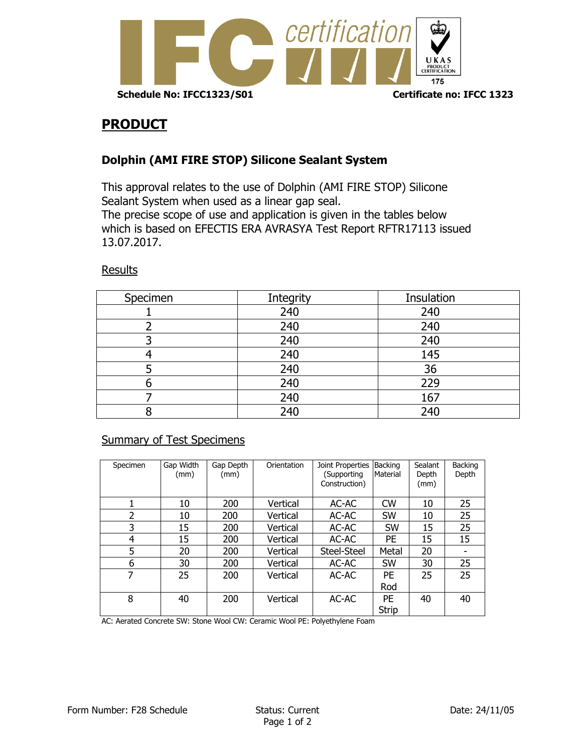

## **PRODUCT**

## **Dolphin (AMI FIRE STOP) Silicone Sealant System**

This approval relates to the use of Dolphin (AMI FIRE STOP) Silicone Sealant System when used as a linear gap seal. The precise scope of use and application is given in the tables below which is based on EFECTIS ERA AVRASYA Test Report RFTR17113 issued 13.07.2017.

## Results

| Specimen | Integrity | Insulation |
|----------|-----------|------------|
|          | 240       | 240        |
|          | 240       | 240        |
|          | 240       | 240        |
|          | 240       | 145        |
|          | 240       | 36         |
|          | 240       | 229        |
|          | 240       | 167        |
|          | 240       | 240        |

## Summary of Test Specimens

| Specimen | Gap Width<br>(mm) | Gap Depth<br>(mm) | Orientation | Joint Properties<br>(Supporting<br>Construction) | Backing<br>Material       | Sealant<br>Depth<br>(mm) | Backing<br>Depth |
|----------|-------------------|-------------------|-------------|--------------------------------------------------|---------------------------|--------------------------|------------------|
|          | 10                | 200               | Vertical    | AC-AC                                            | <b>CW</b>                 | 10                       | 25               |
| 2        | 10                | 200               | Vertical    | AC-AC                                            | SW                        | 10                       | 25               |
| 3        | 15                | 200               | Vertical    | AC-AC                                            | SW                        | 15                       | 25               |
| 4        | 15                | 200               | Vertical    | AC-AC                                            | PE                        | 15                       | 15               |
| 5        | 20                | 200               | Vertical    | Steel-Steel                                      | Metal                     | 20                       |                  |
| 6        | 30                | 200               | Vertical    | AC-AC                                            | <b>SW</b>                 | 30                       | 25               |
| 7        | 25                | 200               | Vertical    | AC-AC                                            | <b>PE</b>                 | 25                       | 25               |
|          |                   |                   |             |                                                  | Rod                       |                          |                  |
| 8        | 40                | 200               | Vertical    | AC-AC                                            | <b>PE</b><br><b>Strip</b> | 40                       | 40               |

AC: Aerated Concrete SW: Stone Wool CW: Ceramic Wool PE: Polyethylene Foam